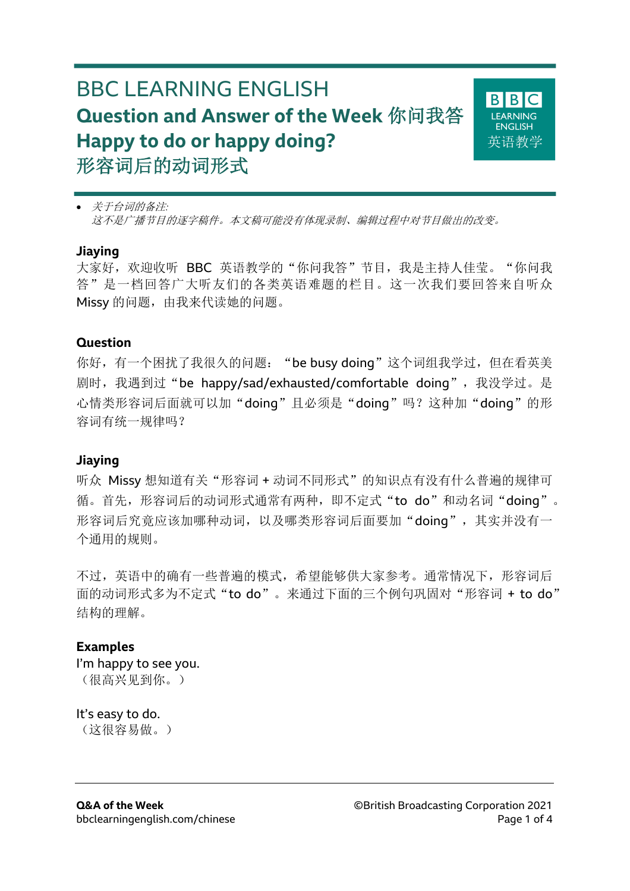# BBC LEARNING ENGLISH **Question and Answer of the Week** 你问我答 **Happy to do or happy doing?** 形容词后的动词形式



• 关于台词的备注*:* 这不是广播节目的逐字稿件。本文稿可能没有体现录制、编辑过程中对节目做出的改变。

#### **Jiaying**

大家好,欢迎收听 BBC 英语教学的"你问我答"节目,我是主持人佳莹。"你问我 答"是一档回答广大听友们的各类英语难题的栏目。这一次我们要回答来自听众 Missy 的问题, 由我来代读她的问题。

### **Question**

你好,有一个困扰了我很久的问题: "be busy doing"这个词组我学过,但在看英美 剧时, 我遇到过"be happy/sad/exhausted/comfortable doing", 我没学过。是 心情类形容词后面就可以加"doing"且必须是"doing"吗?这种加"doing"的形 容词有统一规律吗?

### **Jiaying**

听众 Missy 想知道有关"形容词 + 动词不同形式"的知识点有没有什么普遍的规律可 循。首先,形容词后的动词形式通常有两种,即不定式"to do"和动名词"doing"。 形容词后究竟应该加哪种动词,以及哪类形容词后面要加"doing",其实并没有一 个通用的规则。

不过,英语中的确有一些普遍的模式,希望能够供大家参考。通常情况下,形容词后 面的动词形式多为不定式"to do"。来通过下面的三个例句巩固对"形容词 + to do" 结构的理解。

# **Examples**

I'm happy to see you. (很高兴见到你。)

# It's easy to do.

(这很容易做。)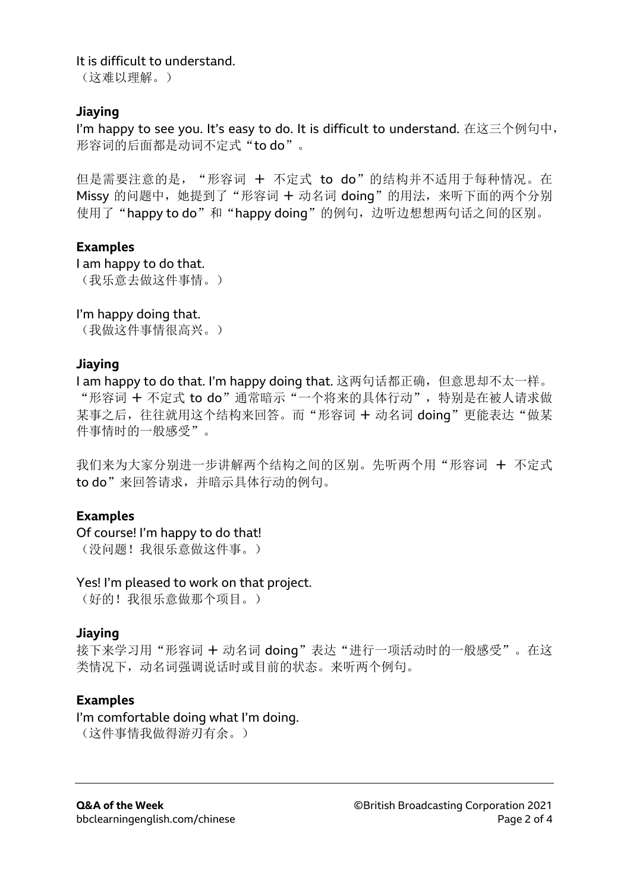It is difficult to understand.

(这难以理解。)

# **Jiaying**

I'm happy to see you. It's easy to do. It is difficult to understand. 在这三个例句中, 形容词的后面都是动词不定式"to do"。

但是需要注意的是, "形容词 + 不定式 to do"的结构并不适用于每种情况。在 Missy 的问题中,她提到了"形容词 + 动名词 doing"的用法,来听下面的两个分别 使用了"happy to do"和"happy doing"的例句,边听边想想两句话之间的区别。

# **Examples**

I am happy to do that. (我乐意去做这件事情。)

# I'm happy doing that.

(我做这件事情很高兴。)

# **Jiaying**

I am happy to do that. I'm happy doing that. 这两句话都正确, 但意思却不太一样。 "形容词 + 不定式 to do"通常暗示"一个将来的具体行动",特别是在被人请求做 某事之后, 往往就用这个结构来回答。而"形容词 + 动名词 doing"更能表达"做某 件事情时的一般感受"。

我们来为大家分别进一步讲解两个结构之间的区别。先听两个用"形容词 + 不定式 to do"来回答请求,并暗示具体行动的例句。

# **Examples**

Of course! I'm happy to do that!

(没问题!我很乐意做这件事。)

# Yes! I'm pleased to work on that project.

(好的!我很乐意做那个项目。)

# **Jiaying**

接下来学习用"形容词 + 动名词 doing"表达"进行一项活动时的一般感受"。在这 类情况下,动名词强调说话时或目前的状态。来听两个例句。

# **Examples**

# I'm comfortable doing what I'm doing.

(这件事情我做得游刃有余。)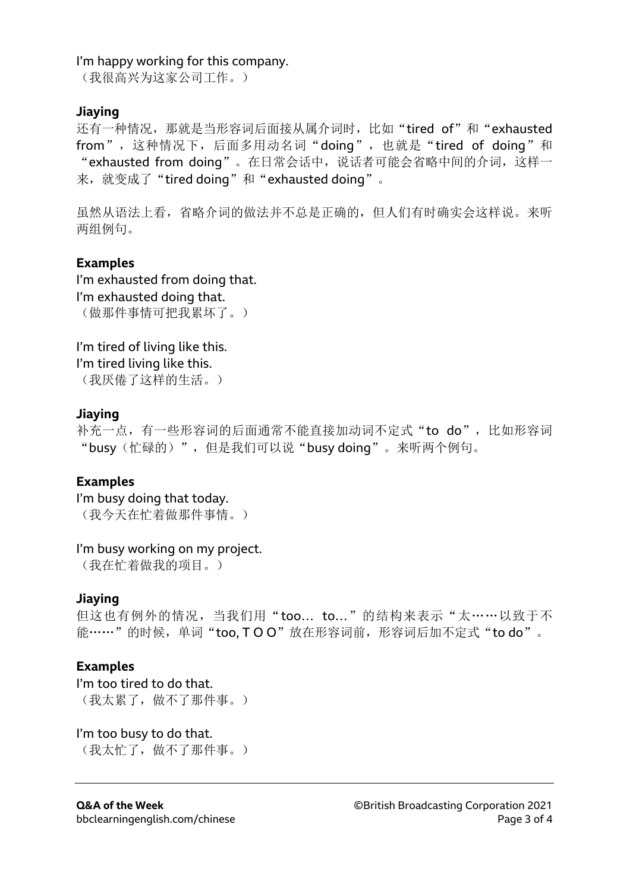### I'm happy working for this company.

(我很高兴为这家公司工作。)

### **Jiaying**

还有一种情况, 那就是当形容词后面接从属介词时, 比如"tired of"和"exhausted from",这种情况下,后面多用动名词"doing",也就是"tired of doing"和 "exhausted from doing"。在日常会话中,说话者可能会省略中间的介词,这样一 来,就变成了"tired doing"和"exhausted doing"。

虽然从语法上看,省略介词的做法并不总是正确的,但人们有时确实会这样说。来听 两组例句。

### **Examples**

I'm exhausted from doing that. I'm exhausted doing that. (做那件事情可把我累坏了。)

I'm tired of living like this. I'm tired living like this. (我厌倦了这样的生活。)

### **Jiaying**

补充一点,有一些形容词的后面通常不能直接加动词不定式"to do", 比如形容词 "busy(忙碌的)",但是我们可以说"busy doing"。来听两个例句。

# **Examples**

I'm busy doing that today. (我今天在忙着做那件事情。)

### I'm busy working on my project.

(我在忙着做我的项目。)

### **Jiaying**

但这也有例外的情况, 当我们用"too... to..."的结构来表示"太……以致于不 能……"的时候,单词"too, TOO"放在形容词前,形容词后加不定式"to do"。

# **Examples**

I'm too tired to do that. (我太累了,做不了那件事。)

I'm too busy to do that. (我太忙了,做不了那件事。)